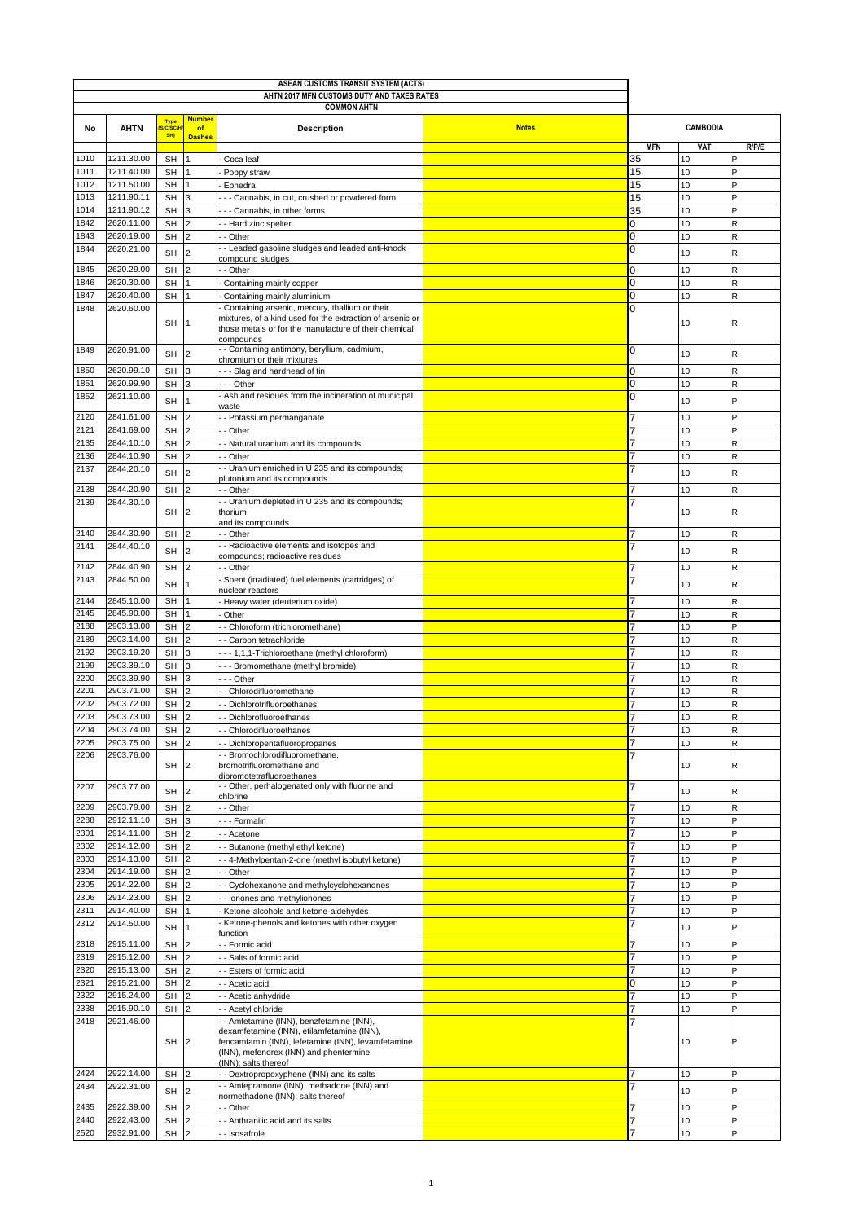| ASEAN CUSTOMS TRANSIT SYSTEM (ACTS)<br>AHTN 2017 MFN CUSTOMS DUTY AND TAXES RATES |                                                    |                        |                                 |                                                                                                                                                                      |              |                     |                 |                             |
|-----------------------------------------------------------------------------------|----------------------------------------------------|------------------------|---------------------------------|----------------------------------------------------------------------------------------------------------------------------------------------------------------------|--------------|---------------------|-----------------|-----------------------------|
|                                                                                   | <b>COMMON AHTN</b><br><b>Number</b><br><b>Type</b> |                        |                                 |                                                                                                                                                                      |              |                     |                 |                             |
| No                                                                                | <b>AHTN</b>                                        | <b>C/SC/</b><br>SH)    | of<br><b>Dashes</b>             | Description                                                                                                                                                          | <b>Notes</b> |                     | <b>CAMBODIA</b> |                             |
|                                                                                   |                                                    |                        |                                 |                                                                                                                                                                      |              | <b>MFN</b>          | VAT             | R/P/E                       |
| 1010<br>1011                                                                      | 1211.30.00<br>1211.40.00                           | <b>SH</b><br><b>SH</b> |                                 | Coca leaf<br>Poppy straw                                                                                                                                             |              | 35<br>15            | 10<br>10        | P                           |
| 1012                                                                              | 1211.50.00                                         | <b>SH</b>              |                                 | Ephedra                                                                                                                                                              |              | 15                  | 10              | P                           |
| 1013                                                                              | 1211.90.11                                         | <b>SH</b>              | 3                               | - - Cannabis, in cut, crushed or powdered form                                                                                                                       |              | 15                  | 10              | P                           |
| 1014                                                                              | 1211.90.12                                         | <b>SH</b>              |                                 | - - Cannabis, in other forms                                                                                                                                         |              | 35                  | 10              | P                           |
| 1842                                                                              | 2620.11.00                                         | <b>SH</b>              | $\overline{2}$                  | - Hard zinc spelter                                                                                                                                                  |              | $\overline{0}$      | 10              | R                           |
| 1843                                                                              | 2620.19.00                                         | <b>SH</b>              | $\overline{2}$                  | - Other                                                                                                                                                              |              | $\overline{0}$      | 10              | R                           |
| 1844                                                                              | 2620.21.00                                         | <b>SH</b>              | $\overline{2}$                  | - Leaded gasoline sludges and leaded anti-knock                                                                                                                      |              | $\mathbf 0$         | 10              | $\mathsf R$                 |
| 1845                                                                              | 2620.29.00                                         | <b>SH</b>              | $\overline{2}$                  | compound sludges<br>- Other                                                                                                                                          |              | $\mathbf 0$         | 10              | $\mathsf{R}$                |
| 1846                                                                              | 2620.30.00                                         | <b>SH</b>              |                                 | Containing mainly copper                                                                                                                                             |              | $\overline{0}$      | 10              | $\mathsf{R}$                |
| 1847                                                                              | 2620.40.00                                         | <b>SH</b>              |                                 | Containing mainly aluminium                                                                                                                                          |              | 0                   | 10              | R                           |
| 1848                                                                              | 2620.60.00                                         | <b>SH</b>              |                                 | Containing arsenic, mercury, thallium or their<br>mixtures, of a kind used for the extraction of arsenic or<br>those metals or for the manufacture of their chemical |              | 0                   | 10              | R                           |
| 1849                                                                              | 2620.91.00                                         |                        |                                 | compounds<br>- Containing antimony, beryllium, cadmium,                                                                                                              |              | 0                   |                 |                             |
|                                                                                   |                                                    | <b>SH</b>              | $\overline{2}$                  | chromium or their mixtures                                                                                                                                           |              |                     | 10              | $\mathsf R$                 |
| 1850<br>1851                                                                      | 2620.99.10<br>2620.99.90                           | <b>SH</b>              | 3                               | --- Slag and hardhead of tin                                                                                                                                         |              | $\mathbf 0$         | 10              | $\mathsf R$                 |
| 1852                                                                              | 2621.10.00                                         | <b>SH</b>              | 3                               | -- Other<br>Ash and residues from the incineration of municipal                                                                                                      |              | $\mathbf 0$<br>0    | 10              | $\mathsf{R}$                |
|                                                                                   |                                                    | <b>SH</b>              |                                 | waste                                                                                                                                                                |              |                     | 10              | P                           |
| 2120                                                                              | 2841.61.00                                         | <b>SH</b>              | $\overline{2}$                  | - Potassium permanganate                                                                                                                                             |              |                     | 10              | P                           |
| 2121                                                                              | 2841.69.00                                         | <b>SH</b>              | $\overline{2}$                  | - Other                                                                                                                                                              |              | 7                   | 10              | P                           |
| 2135                                                                              | 2844.10.10                                         | <b>SH</b>              | $\overline{2}$                  | - Natural uranium and its compounds                                                                                                                                  |              | 7                   | 10              | $\mathsf{R}$                |
| 2136<br>2137                                                                      | 2844.10.90<br>2844.20.10                           | <b>SH</b>              | $\overline{2}$                  | - Other<br>- Uranium enriched in U 235 and its compounds;                                                                                                            |              | $\overline{7}$<br>7 | 10              | $\mathsf{R}$                |
|                                                                                   |                                                    | <b>SH</b>              | $\overline{2}$                  | plutonium and its compounds                                                                                                                                          |              |                     | 10              | $\mathsf{R}$                |
| 2138                                                                              | 2844.20.90                                         | <b>SH</b>              | $\overline{2}$                  | - Other                                                                                                                                                              |              | 7                   | 10              | R                           |
| 2139                                                                              | 2844.30.10                                         | <b>SH</b>              | 2                               | - Uranium depleted in U 235 and its compounds;<br>thorium<br>and its compounds                                                                                       |              |                     | 10              | $\mathsf R$                 |
| 2140                                                                              | 2844.30.90                                         | SH                     | 2                               | - Other                                                                                                                                                              |              | 7                   | 10              | R                           |
| 2141                                                                              | 2844.40.10                                         | <b>SH</b>              | $\overline{2}$                  | - - Radioactive elements and isotopes and<br>compounds; radioactive residues                                                                                         |              | 7                   | 10              | $\mathsf{R}$                |
| 2142                                                                              | 2844.40.90                                         | <b>SH</b>              |                                 | - Other                                                                                                                                                              |              | 7                   | 10              | R                           |
| 2143                                                                              | 2844.50.00                                         | <b>SH</b>              |                                 | Spent (irradiated) fuel elements (cartridges) of                                                                                                                     |              | 7                   | 10              | $\mathsf R$                 |
| 2144                                                                              |                                                    |                        |                                 | nuclear reactors                                                                                                                                                     |              |                     |                 |                             |
| 2145                                                                              | 2845.10.00<br>2845.90.00                           | <b>SH</b><br><b>SH</b> |                                 | Heavy water (deuterium oxide)<br>Other                                                                                                                               |              | 7<br>7              | 10<br>10        | $\mathsf R$<br>$\mathsf{R}$ |
| 2188                                                                              | 2903.13.00                                         | <b>SH</b>              | $\overline{2}$                  | - Chloroform (trichloromethane)                                                                                                                                      |              | 7                   | 10              | P                           |
| 2189                                                                              | 2903.14.00                                         | <b>SH</b>              | $\overline{2}$                  | - Carbon tetrachloride                                                                                                                                               |              | 7                   | 10              | R                           |
| 2192                                                                              | 2903.19.20                                         | <b>SH</b>              | 3                               | -- 1,1,1-Trichloroethane (methyl chloroform)                                                                                                                         |              |                     | 10              | R                           |
| 2199                                                                              | 2903.39.10                                         | <b>SH</b>              | 3                               | - - Bromomethane (methyl bromide)                                                                                                                                    |              | 7                   | 10              | R                           |
| 2200                                                                              | 2903.39.90                                         | <b>SH</b>              | 3                               | - - Other                                                                                                                                                            |              | 7                   | 10              | $\mathsf{R}$                |
| 2201                                                                              | 2903.71.00                                         | <b>SH</b>              | $\overline{2}$                  | - Chlorodifluoromethane                                                                                                                                              |              | $\overline{7}$      | 10              | $\mathsf{R}$                |
| 2202                                                                              | 2903.72.00                                         | <b>SH</b>              | $\overline{2}$                  | Dichlorotrifluoroethanes                                                                                                                                             |              | 7                   | 10              | R                           |
| 2203                                                                              | 2903.73.00                                         | SH                     | $\overline{2}$<br>$\mathcal{P}$ | Dichlorofluoroethanes                                                                                                                                                |              | 7<br>7              | 10              | R<br>R                      |
| 2204<br>2205                                                                      | 2903.74.00<br>2903.75.00                           | <b>SH</b><br><b>SH</b> | $\overline{2}$                  | - Chlorodifluoroethanes<br>- Dichloropentafluoropropanes                                                                                                             |              | 7                   | 10<br>10        | R                           |
| 2206                                                                              | 2903.76.00                                         | <b>SH</b>              | $\overline{2}$                  | - - Bromochlorodifluoromethane,<br>bromotrifluoromethane and                                                                                                         |              | 7                   | 10              | $\mathsf R$                 |
| 2207                                                                              | 2903.77.00                                         | <b>SH</b>              | $\overline{2}$                  | dibromotetrafluoroethanes<br>- - Other, perhalogenated only with fluorine and                                                                                        |              | 7                   | 10              | $\mathsf R$                 |
|                                                                                   |                                                    |                        |                                 | chlorine                                                                                                                                                             |              |                     |                 |                             |
| 2209                                                                              | 2903.79.00                                         | <b>SH</b>              | $\overline{2}$                  | - Other                                                                                                                                                              |              | 7                   | 10              | R<br>Þ                      |
| 2288<br>2301                                                                      | 2912.11.10<br>2914.11.00                           | <b>SH</b><br><b>SH</b> | 3<br>$\overline{2}$             | - - Formalin<br>- Acetone                                                                                                                                            |              |                     | 10<br>10        | P                           |
| 2302                                                                              | 2914.12.00                                         | <b>SH</b>              | $\overline{2}$                  | Butanone (methyl ethyl ketone)                                                                                                                                       |              | 7                   | 10              | P                           |
| 2303                                                                              | 2914.13.00                                         | <b>SH</b>              | $\overline{2}$                  | - 4-Methylpentan-2-one (methyl isobutyl ketone)                                                                                                                      |              | 7                   | 10              | P                           |
| 2304                                                                              | 2914.19.00                                         | <b>SH</b>              | $\overline{2}$                  | - Other                                                                                                                                                              |              | 7                   | 10              | Þ                           |
| 2305                                                                              | 2914.22.00                                         | <b>SH</b>              | $\overline{2}$                  | - Cyclohexanone and methylcyclohexanones                                                                                                                             |              | $\overline{7}$      | 10              | P                           |
| 2306                                                                              | 2914.23.00                                         | <b>SH</b>              | $\overline{2}$                  | - lonones and methylionones                                                                                                                                          |              | $\overline{7}$      | 10              | P                           |
| 2311                                                                              | 2914.40.00                                         | SH                     | $\overline{1}$                  | Ketone-alcohols and ketone-aldehydes                                                                                                                                 |              | $\overline{7}$      | 10              | P                           |
| 2312                                                                              | 2914.50.00                                         | <b>SH</b>              | $\mathbf{1}$                    | Ketone-phenols and ketones with other oxygen<br>function                                                                                                             |              | 7                   | 10              | P                           |
| 2318                                                                              | 2915.11.00                                         | <b>SH</b>              | $\overline{2}$                  | - Formic acid                                                                                                                                                        |              | 7                   | 10              | P                           |
| 2319                                                                              | 2915.12.00                                         | <b>SH</b>              | $\overline{2}$                  | - Salts of formic acid                                                                                                                                               |              | 7                   | 10              | P                           |
| 2320                                                                              | 2915.13.00                                         | <b>SH</b>              | $\overline{2}$                  | - Esters of formic acid                                                                                                                                              |              | 7                   | 10              | P                           |
| 2321                                                                              | 2915.21.00                                         | <b>SH</b>              | $\overline{2}$                  | - Acetic acid                                                                                                                                                        |              | $\overline{0}$      | 10              | P                           |
| 2322                                                                              | 2915.24.00                                         | <b>SH</b>              | 2                               | - Acetic anhydride                                                                                                                                                   |              | $\overline{7}$      | 10              | P                           |
| 2338<br>2418                                                                      | 2915.90.10<br>2921.46.00                           | <b>SH</b>              | $\overline{2}$                  | - Acetyl chloride<br>- Amfetamine (INN), benzfetamine (INN),                                                                                                         |              | 7<br>7              | 10              | P                           |
|                                                                                   |                                                    | SH                     | $\overline{2}$                  | dexamfetamine (INN), etilamfetamine (INN),<br>fencamfamin (INN), lefetamine (INN), levamfetamine<br>(INN), mefenorex (INN) and phentermine<br>(INN); salts thereof   |              |                     | 10              | P                           |
| 2424<br>2434                                                                      | 2922.14.00<br>2922.31.00                           | SH                     | $\overline{2}$                  | - Dextropropoxyphene (INN) and its salts                                                                                                                             |              | $\overline{7}$      | 10              | P                           |
|                                                                                   |                                                    | <b>SH</b>              | $\overline{2}$                  | - - Amfepramone (INN), methadone (INN) and<br>normethadone (INN); salts thereof                                                                                      |              | 7                   | 10              | P                           |
| 2435                                                                              | 2922.39.00                                         | <b>SH</b>              | $\overline{2}$                  | - Other                                                                                                                                                              |              | 7                   | 10              | P                           |
| 2440                                                                              | 2922.43.00                                         | <b>SH</b>              | $\overline{2}$                  | - Anthranilic acid and its salts                                                                                                                                     |              | 7                   | 10              | P                           |
| 2520                                                                              | 2932.91.00                                         | SH                     | $\overline{2}$                  | - Isosafrole                                                                                                                                                         |              | 7                   | 10              | P                           |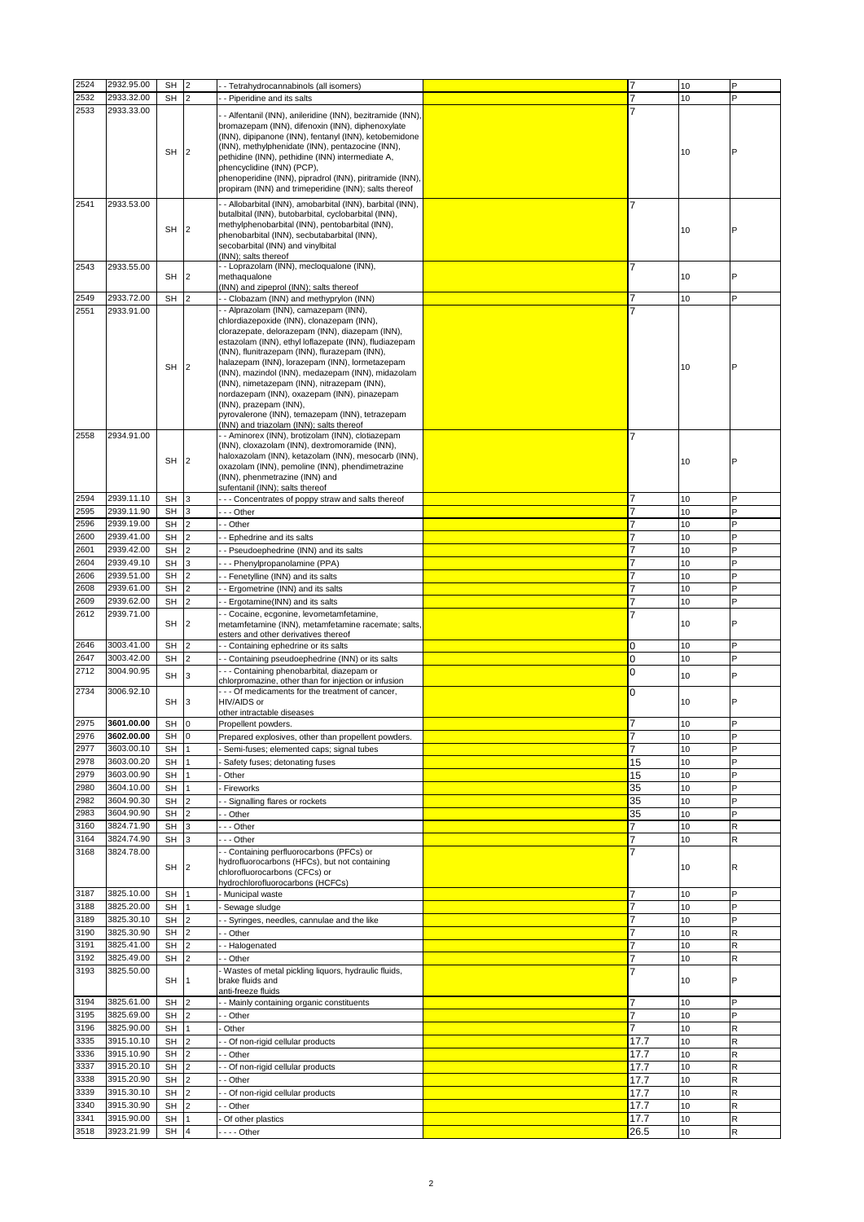| 2524         | 2932.95.00               | <b>SH</b> | $\overline{2}$ |                                                                                                                                                                                                                                                                                                                                                                                                                                                                                                                                                                              | 7              | 10 | P |
|--------------|--------------------------|-----------|----------------|------------------------------------------------------------------------------------------------------------------------------------------------------------------------------------------------------------------------------------------------------------------------------------------------------------------------------------------------------------------------------------------------------------------------------------------------------------------------------------------------------------------------------------------------------------------------------|----------------|----|---|
|              |                          |           |                | - Tetrahydrocannabinols (all isomers)                                                                                                                                                                                                                                                                                                                                                                                                                                                                                                                                        |                |    |   |
| 2532         | 2933.32.00               | <b>SH</b> | $\overline{2}$ | - Piperidine and its salts                                                                                                                                                                                                                                                                                                                                                                                                                                                                                                                                                   | $\overline{7}$ | 10 | P |
| 2533         | 2933.33.00               | SH        | $\overline{2}$ | - Alfentanil (INN), anileridine (INN), bezitramide (INN),<br>bromazepam (INN), difenoxin (INN), diphenoxylate<br>(INN), dipipanone (INN), fentanyl (INN), ketobemidone<br>(INN), methylphenidate (INN), pentazocine (INN),<br>pethidine (INN), pethidine (INN) intermediate A,<br>phencyclidine (INN) (PCP),<br>phenoperidine (INN), pipradrol (INN), piritramide (INN),                                                                                                                                                                                                     |                | 10 | P |
|              |                          |           |                | propiram (INN) and trimeperidine (INN); salts thereof                                                                                                                                                                                                                                                                                                                                                                                                                                                                                                                        |                |    |   |
|              |                          |           |                |                                                                                                                                                                                                                                                                                                                                                                                                                                                                                                                                                                              |                |    |   |
| 2541         | 2933.53.00               | SH        | $\overline{2}$ | - Allobarbital (INN), amobarbital (INN), barbital (INN),<br>butalbital (INN), butobarbital, cyclobarbital (INN),<br>methylphenobarbital (INN), pentobarbital (INN),<br>phenobarbital (INN), secbutabarbital (INN),<br>secobarbital (INN) and vinylbital<br>(INN); salts thereof                                                                                                                                                                                                                                                                                              | 7              | 10 |   |
| 2543         | 2933.55.00               | SH        | $\overline{2}$ | - Loprazolam (INN), mecloqualone (INN),<br>methaqualone<br>(INN) and zipeprol (INN); salts thereof                                                                                                                                                                                                                                                                                                                                                                                                                                                                           | 7              | 10 | P |
| 2549         | 2933.72.00               | <b>SH</b> | $\overline{2}$ | - Clobazam (INN) and methyprylon (INN)                                                                                                                                                                                                                                                                                                                                                                                                                                                                                                                                       |                | 10 | P |
|              |                          |           |                |                                                                                                                                                                                                                                                                                                                                                                                                                                                                                                                                                                              |                |    |   |
| 2551         | 2933.91.00               | SH        | 2              | - Alprazolam (INN), camazepam (INN),<br>chlordiazepoxide (INN), clonazepam (INN),<br>clorazepate, delorazepam (INN), diazepam (INN),<br>estazolam (INN), ethyl loflazepate (INN), fludiazepam<br>(INN), flunitrazepam (INN), flurazepam (INN),<br>halazepam (INN), lorazepam (INN), lormetazepam<br>(INN), mazindol (INN), medazepam (INN), midazolam<br>(INN), nimetazepam (INN), nitrazepam (INN),<br>nordazepam (INN), oxazepam (INN), pinazepam<br>(INN), prazepam (INN),<br>pyrovalerone (INN), temazepam (INN), tetrazepam<br>(INN) and triazolam (INN); salts thereof |                | 10 |   |
| 2558         | 2934.91.00               | SH        | $\overline{2}$ | - Aminorex (INN), brotizolam (INN), clotiazepam<br>(INN), cloxazolam (INN), dextromoramide (INN),<br>haloxazolam (INN), ketazolam (INN), mesocarb (INN),<br>oxazolam (INN), pemoline (INN), phendimetrazine<br>(INN), phenmetrazine (INN) and<br>sufentanil (INN); salts thereof                                                                                                                                                                                                                                                                                             | 7              | 10 | P |
| 2594         | 2939.11.10               | <b>SH</b> | 3              | - - Concentrates of poppy straw and salts thereof                                                                                                                                                                                                                                                                                                                                                                                                                                                                                                                            | 7              | 10 | P |
| 2595         | 2939.11.90               | <b>SH</b> | 3              | - - Other                                                                                                                                                                                                                                                                                                                                                                                                                                                                                                                                                                    | 7              | 10 | P |
|              |                          |           |                |                                                                                                                                                                                                                                                                                                                                                                                                                                                                                                                                                                              |                |    |   |
| 2596         | 2939.19.00               | <b>SH</b> | $\overline{2}$ | Other                                                                                                                                                                                                                                                                                                                                                                                                                                                                                                                                                                        | 7              | 10 | Þ |
| 2600         | 2939.41.00               | SH        | $\overline{2}$ | Ephedrine and its salts                                                                                                                                                                                                                                                                                                                                                                                                                                                                                                                                                      | 7              | 10 | Þ |
| 2601         | 2939.42.00               |           | $\overline{2}$ |                                                                                                                                                                                                                                                                                                                                                                                                                                                                                                                                                                              |                | 10 | P |
|              |                          | <b>SH</b> |                | - Pseudoephedrine (INN) and its salts                                                                                                                                                                                                                                                                                                                                                                                                                                                                                                                                        |                |    |   |
| 2604         | 2939.49.10               | <b>SH</b> | 3              | - - Phenylpropanolamine (PPA)                                                                                                                                                                                                                                                                                                                                                                                                                                                                                                                                                | 7              | 10 | P |
| 2606         | 2939.51.00               | <b>SH</b> | $\overline{2}$ | - Fenetylline (INN) and its salts                                                                                                                                                                                                                                                                                                                                                                                                                                                                                                                                            | 7              | 10 | P |
| 2608         | 2939.61.00               | <b>SH</b> | $\overline{2}$ |                                                                                                                                                                                                                                                                                                                                                                                                                                                                                                                                                                              | 7              | 10 | P |
|              |                          |           |                | Ergometrine (INN) and its salts                                                                                                                                                                                                                                                                                                                                                                                                                                                                                                                                              |                |    |   |
| 2609         | 2939.62.00               | SH        | $\overline{2}$ | - Ergotamine(INN) and its salts                                                                                                                                                                                                                                                                                                                                                                                                                                                                                                                                              | 7              | 10 | P |
| 2612         | 2939.71.00               | SH        | $\overline{2}$ | - Cocaine, ecgonine, levometamfetamine,<br>metamfetamine (INN), metamfetamine racemate; salts,<br>esters and other derivatives thereof                                                                                                                                                                                                                                                                                                                                                                                                                                       |                | 10 | P |
| 2646         | 3003.41.00               | <b>SH</b> | $\overline{2}$ | - Containing ephedrine or its salts                                                                                                                                                                                                                                                                                                                                                                                                                                                                                                                                          | 0              | 10 | P |
|              |                          |           |                |                                                                                                                                                                                                                                                                                                                                                                                                                                                                                                                                                                              |                |    |   |
| 2647         | 3003.42.00               | SH        | $\overline{2}$ | - Containing pseudoephedrine (INN) or its salts                                                                                                                                                                                                                                                                                                                                                                                                                                                                                                                              | 0              | 10 | P |
| 2712         | 3004.90.95               | <b>SH</b> | 3              | -- Containing phenobarbital, diazepam or<br>chlorpromazine, other than for injection or infusion                                                                                                                                                                                                                                                                                                                                                                                                                                                                             | 0              | 10 | P |
| 2734         | 3006.92.10               | <b>SH</b> | 3              | --- Of medicaments for the treatment of cancer,<br>HIV/AIDS or                                                                                                                                                                                                                                                                                                                                                                                                                                                                                                               | 0              | 10 | P |
| 2975         | 3601.00.00               | SH        | lo.            | other intractable diseases<br>Propellent powders.                                                                                                                                                                                                                                                                                                                                                                                                                                                                                                                            | $\overline{7}$ | 10 | P |
|              |                          |           |                |                                                                                                                                                                                                                                                                                                                                                                                                                                                                                                                                                                              |                |    |   |
| 2976         | 3602.00.00               | <b>SH</b> | $\mathbf 0$    | Prepared explosives, other than propellent powders.                                                                                                                                                                                                                                                                                                                                                                                                                                                                                                                          | 7              | 10 | P |
| 2977         | 3603.00.10               | SH        |                | Semi-fuses; elemented caps; signal tubes                                                                                                                                                                                                                                                                                                                                                                                                                                                                                                                                     | $\overline{7}$ | 10 | P |
| 2978         | 3603.00.20               | <b>SH</b> |                | Safety fuses; detonating fuses                                                                                                                                                                                                                                                                                                                                                                                                                                                                                                                                               | 15             | 10 | P |
| 2979         | 3603.00.90               |           |                |                                                                                                                                                                                                                                                                                                                                                                                                                                                                                                                                                                              | 15             | 10 | P |
|              |                          | SH        |                | Other                                                                                                                                                                                                                                                                                                                                                                                                                                                                                                                                                                        |                |    |   |
| 2980         | 3604.10.00               | <b>SH</b> | $\overline{1}$ | Fireworks                                                                                                                                                                                                                                                                                                                                                                                                                                                                                                                                                                    | 35             | 10 | P |
| 2982         | 3604.90.30               | SH        |                | Signalling flares or rockets                                                                                                                                                                                                                                                                                                                                                                                                                                                                                                                                                 | 35             | 10 | P |
| 2983         | 3604.90.90               | <b>SH</b> | $\overline{2}$ | Other                                                                                                                                                                                                                                                                                                                                                                                                                                                                                                                                                                        | 35             | 10 | P |
| 3160         | 3824.71.90               | SH        | 3              | - - Other                                                                                                                                                                                                                                                                                                                                                                                                                                                                                                                                                                    | 7              | 10 | R |
|              |                          |           |                |                                                                                                                                                                                                                                                                                                                                                                                                                                                                                                                                                                              |                |    |   |
| 3164<br>3168 | 3824.74.90<br>3824.78.00 | <b>SH</b> | 3              | - - Other<br>- Containing perfluorocarbons (PFCs) or                                                                                                                                                                                                                                                                                                                                                                                                                                                                                                                         | 7<br>7         | 10 | R |
|              |                          | SH        | $\overline{2}$ | hydrofluorocarbons (HFCs), but not containing<br>chlorofluorocarbons (CFCs) or<br>hydrochlorofluorocarbons (HCFCs)                                                                                                                                                                                                                                                                                                                                                                                                                                                           |                | 10 | R |
| 3187         | 3825.10.00               | SH        |                | Municipal waste                                                                                                                                                                                                                                                                                                                                                                                                                                                                                                                                                              | 7              | 10 | P |
| 3188         | 3825.20.00               | <b>SH</b> |                | Sewage sludge                                                                                                                                                                                                                                                                                                                                                                                                                                                                                                                                                                | $\overline{7}$ | 10 | P |
|              |                          |           |                |                                                                                                                                                                                                                                                                                                                                                                                                                                                                                                                                                                              |                |    |   |
| 3189         | 3825.30.10               | <b>SH</b> | $\overline{2}$ | - Syringes, needles, cannulae and the like                                                                                                                                                                                                                                                                                                                                                                                                                                                                                                                                   | 7              | 10 | P |
| 3190         | 3825.30.90               | <b>SH</b> | $\overline{2}$ | - Other                                                                                                                                                                                                                                                                                                                                                                                                                                                                                                                                                                      | 7              | 10 | R |
| 3191         | 3825.41.00               | <b>SH</b> | $\overline{2}$ | - Halogenated                                                                                                                                                                                                                                                                                                                                                                                                                                                                                                                                                                | 7              | 10 | R |
| 3192         | 3825.49.00               | SH        | $\overline{2}$ | - Other                                                                                                                                                                                                                                                                                                                                                                                                                                                                                                                                                                      | $\overline{7}$ | 10 | R |
|              |                          |           |                |                                                                                                                                                                                                                                                                                                                                                                                                                                                                                                                                                                              |                |    |   |
| 3193         | 3825.50.00               | <b>SH</b> |                | Wastes of metal pickling liquors, hydraulic fluids,<br>brake fluids and<br>anti-freeze fluids                                                                                                                                                                                                                                                                                                                                                                                                                                                                                |                | 10 | P |
| 3194         | 3825.61.00               | <b>SH</b> | $\overline{2}$ | - Mainly containing organic constituents                                                                                                                                                                                                                                                                                                                                                                                                                                                                                                                                     | 7              | 10 | P |
| 3195         | 3825.69.00               | <b>SH</b> | 2              |                                                                                                                                                                                                                                                                                                                                                                                                                                                                                                                                                                              | 7              | 10 | P |
|              |                          |           |                | - Other                                                                                                                                                                                                                                                                                                                                                                                                                                                                                                                                                                      |                |    |   |
| 3196         | 3825.90.00               | <b>SH</b> |                | Other                                                                                                                                                                                                                                                                                                                                                                                                                                                                                                                                                                        | 7              | 10 | R |
| 3335         | 3915.10.10               | <b>SH</b> | $\overline{2}$ | - Of non-rigid cellular products                                                                                                                                                                                                                                                                                                                                                                                                                                                                                                                                             | 17.7           | 10 | R |
| 3336         | 3915.10.90               | <b>SH</b> | $\overline{2}$ | Other                                                                                                                                                                                                                                                                                                                                                                                                                                                                                                                                                                        | 17.7           | 10 | R |
| 3337         | 3915.20.10               |           |                |                                                                                                                                                                                                                                                                                                                                                                                                                                                                                                                                                                              |                | 10 | R |
|              |                          | <b>SH</b> | $\overline{2}$ | Of non-rigid cellular products                                                                                                                                                                                                                                                                                                                                                                                                                                                                                                                                               | 17.7           |    |   |
| 3338         | 3915.20.90               | SH        | $\overline{2}$ | Other                                                                                                                                                                                                                                                                                                                                                                                                                                                                                                                                                                        | 17.7           | 10 | R |
| 3339         | 3915.30.10               | <b>SH</b> | $\overline{2}$ | Of non-rigid cellular products                                                                                                                                                                                                                                                                                                                                                                                                                                                                                                                                               | 17.7           | 10 | R |
| 3340         | 3915.30.90               | SH        | $\overline{2}$ | - Other                                                                                                                                                                                                                                                                                                                                                                                                                                                                                                                                                                      | 17.7           | 10 | R |
|              |                          |           |                |                                                                                                                                                                                                                                                                                                                                                                                                                                                                                                                                                                              |                |    |   |
| 3341         | 3915.90.00               | <b>SH</b> |                | Of other plastics                                                                                                                                                                                                                                                                                                                                                                                                                                                                                                                                                            | 17.7           | 10 | R |
| 3518         | 3923.21.99               | SH        |                | --- Other                                                                                                                                                                                                                                                                                                                                                                                                                                                                                                                                                                    | 26.5           | 10 | R |